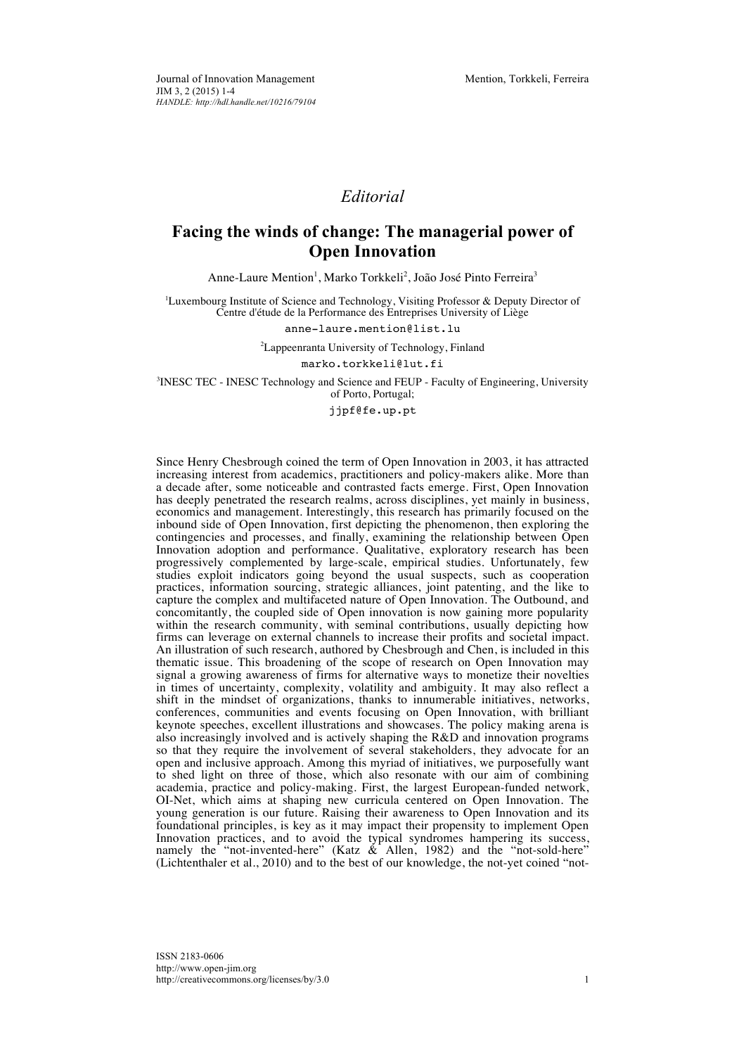## *Editorial*

## **Facing the winds of change: The managerial power of Open Innovation**

Anne-Laure Mention<sup>1</sup>, Marko Torkkeli<sup>2</sup>, João José Pinto Ferreira<sup>3</sup>

<sup>1</sup>Luxembourg Institute of Science and Technology, Visiting Professor & Deputy Director of Centre d'étude de la Performance des Entreprises University of Liège

anne-laure.mention@list.lu

<sup>2</sup>Lappeenranta University of Technology, Finland

marko.torkkeli@lut.fi

<sup>3</sup>INESC TEC - INESC Technology and Science and FEUP - Faculty of Engineering, University of Porto, Portugal;

jjpf@fe.up.pt

Since Henry Chesbrough coined the term of Open Innovation in 2003, it has attracted increasing interest from academics, practitioners and policy-makers alike. More than a decade after, some noticeable and contrasted facts emerge. First, Open Innovation has deeply penetrated the research realms, across disciplines, yet mainly in business, economics and management. Interestingly, this research has primarily focused on the inbound side of Open Innovation, first depicting the phenomenon, then exploring the contingencies and processes, and finally, examining the relationship between Open Innovation adoption and performance. Qualitative, exploratory research has been progressively complemented by large-scale, empirical studies. Unfortunately, few studies exploit indicators going beyond the usual suspects, such as cooperation practices, information sourcing, strategic alliances, joint patenting, and the like to capture the complex and multifaceted nature of Open Innovation. The Outbound, and concomitantly, the coupled side of Open innovation is now gaining more popularity within the research community, with seminal contributions, usually depicting how firms can leverage on external channels to increase their profits and societal impact. An illustration of such research, authored by Chesbrough and Chen, is included in this thematic issue. This broadening of the scope of research on Open Innovation may signal a growing awareness of firms for alternative ways to monetize their novelties in times of uncertainty, complexity, volatility and ambiguity. It may also reflect a shift in the mindset of organizations, thanks to innumerable initiatives, networks, conferences, communities and events focusing on Open Innovation, with brilliant keynote speeches, excellent illustrations and showcases. The policy making arena is also increasingly involved and is actively shaping the R&D and innovation programs so that they require the involvement of several stakeholders, they advocate for an open and inclusive approach. Among this myriad of initiatives, we purposefully want to shed light on three of those, which also resonate with our aim of combining academia, practice and policy-making. First, the largest European-funded network, OI-Net, which aims at shaping new curricula centered on Open Innovation. The young generation is our future. Raising their awareness to Open Innovation and its foundational principles, is key as it may impact their propensity to implement Open Innovation practices, and to avoid the typical syndromes hampering its success, namely the "not-invented-here" (Katz & Allen, 1982) and the "not-sold-here" (Lichtenthaler et al., 2010) and to the best of our knowledge, the not-yet coined "not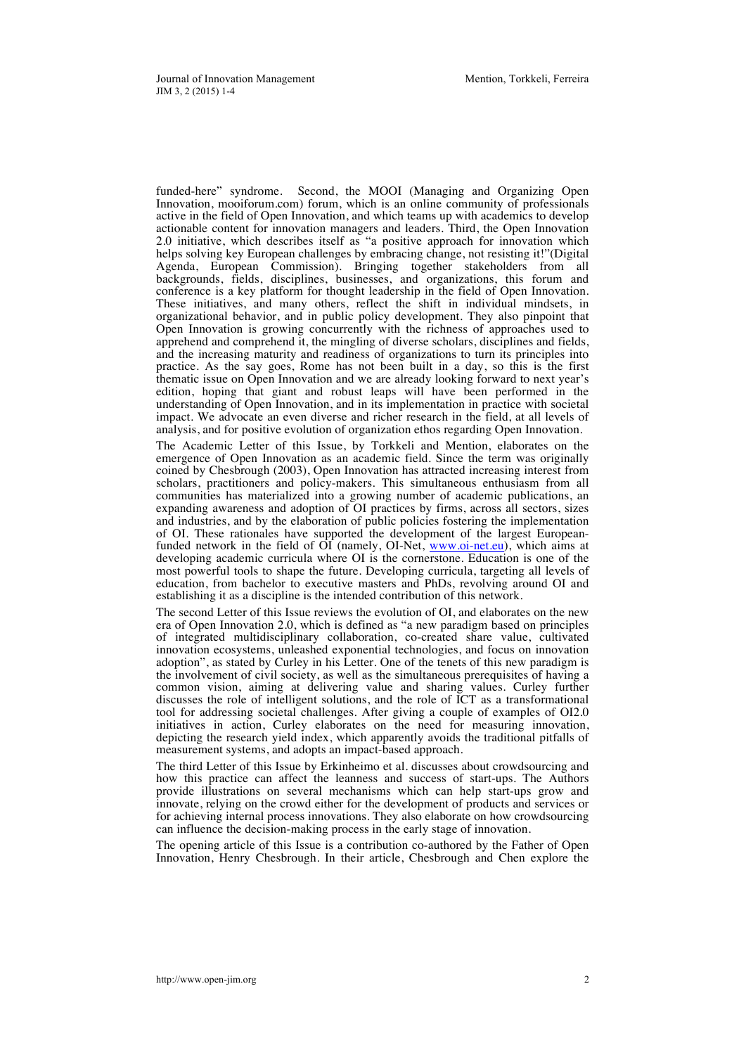funded-here" syndrome. Second, the MOOI (Managing and Organizing Open Innovation, mooiforum.com) forum, which is an online community of professionals active in the field of Open Innovation, and which teams up with academics to develop actionable content for innovation managers and leaders. Third, the Open Innovation 2.0 initiative, which describes itself as "a positive approach for innovation which helps solving key European challenges by embracing change, not resisting it!"(Digital Agenda, European Commission). Bringing together stakeholders from all backgrounds, fields, disciplines, businesses, and organizations, this forum and conference is a key platform for thought leadership in the field of Open Innovation. These initiatives, and many others, reflect the shift in individual mindsets, in organizational behavior, and in public policy development. They also pinpoint that Open Innovation is growing concurrently with the richness of approaches used to apprehend and comprehend it, the mingling of diverse scholars, disciplines and fields, and the increasing maturity and readiness of organizations to turn its principles into practice. As the say goes, Rome has not been built in a day, so this is the first thematic issue on Open Innovation and we are already looking forward to next year's edition, hoping that giant and robust leaps will have been performed in the understanding of Open Innovation, and in its implementation in practice with societal impact. We advocate an even diverse and richer research in the field, at all levels of analysis, and for positive evolution of organization ethos regarding Open Innovation.

The Academic Letter of this Issue, by Torkkeli and Mention, elaborates on the emergence of Open Innovation as an academic field. Since the term was originally coined by Chesbrough (2003), Open Innovation has attracted increasing interest from scholars, practitioners and policy-makers. This simultaneous enthusiasm from all communities has materialized into a growing number of academic publications, an expanding awareness and adoption of OI practices by firms, across all sectors, sizes and industries, and by the elaboration of public policies fostering the implementation of OI. These rationales have supported the development of the largest Europeanfunded network in the field of OI (namely, OI-Net, www.oi-net.eu), which aims at developing academic curricula where OI is the cornerstone. Education is one of the most powerful tools to shape the future. Developing curricula, targeting all levels of education, from bachelor to executive masters and PhDs, revolving around OI and establishing it as a discipline is the intended contribution of this network.

The second Letter of this Issue reviews the evolution of OI, and elaborates on the new era of Open Innovation 2.0, which is defined as "a new paradigm based on principles of integrated multidisciplinary collaboration, co-created share value, cultivated innovation ecosystems, unleashed exponential technologies, and focus on innovation adoption", as stated by Curley in his Letter. One of the tenets of this new paradigm is the involvement of civil society, as well as the simultaneous prerequisites of having a common vision, aiming at delivering value and sharing values. Curley further discusses the role of intelligent solutions, and the role of ICT as a transformational tool for addressing societal challenges. After giving a couple of examples of OI2.0 initiatives in action, Curley elaborates on the need for measuring innovation, depicting the research yield index, which apparently avoids the traditional pitfalls of measurement systems, and adopts an impact-based approach.

The third Letter of this Issue by Erkinheimo et al. discusses about crowdsourcing and how this practice can affect the leanness and success of start-ups. The Authors provide illustrations on several mechanisms which can help start-ups grow and innovate, relying on the crowd either for the development of products and services or for achieving internal process innovations. They also elaborate on how crowdsourcing can influence the decision-making process in the early stage of innovation.

The opening article of this Issue is a contribution co-authored by the Father of Open Innovation, Henry Chesbrough. In their article, Chesbrough and Chen explore the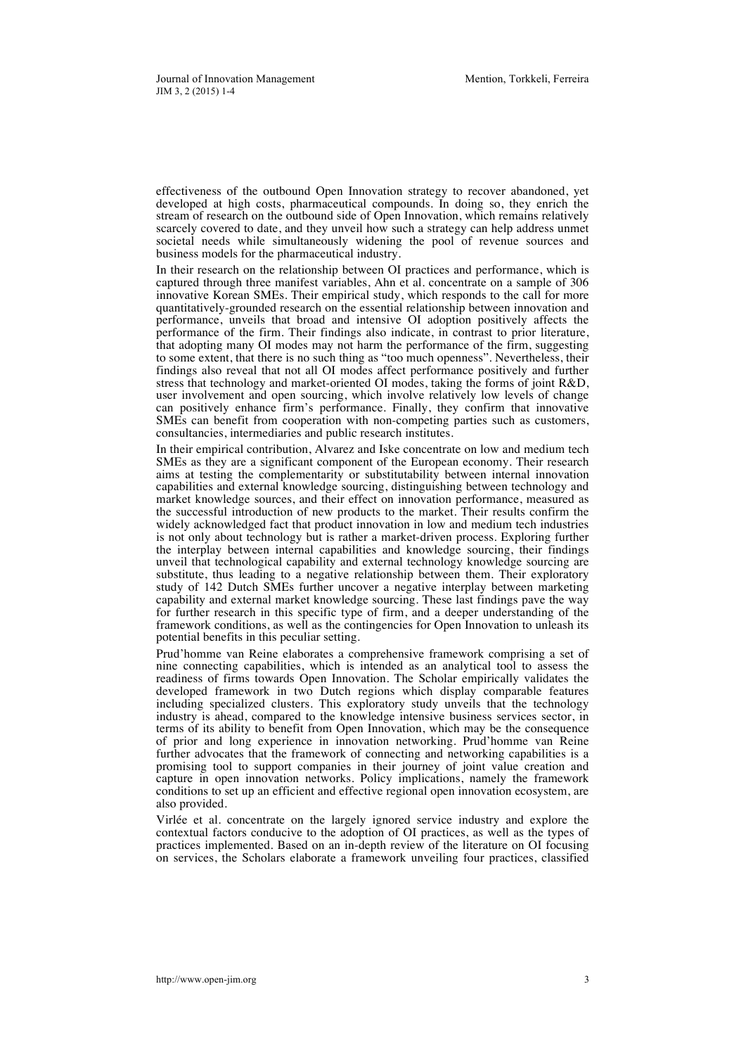effectiveness of the outbound Open Innovation strategy to recover abandoned, yet developed at high costs, pharmaceutical compounds. In doing so, they enrich the stream of research on the outbound side of Open Innovation, which remains relatively scarcely covered to date, and they unveil how such a strategy can help address unmet societal needs while simultaneously widening the pool of revenue sources and business models for the pharmaceutical industry.

In their research on the relationship between OI practices and performance, which is captured through three manifest variables, Ahn et al. concentrate on a sample of 306 innovative Korean SMEs. Their empirical study, which responds to the call for more quantitatively-grounded research on the essential relationship between innovation and performance, unveils that broad and intensive OI adoption positively affects the performance of the firm. Their findings also indicate, in contrast to prior literature, that adopting many OI modes may not harm the performance of the firm, suggesting to some extent, that there is no such thing as "too much openness". Nevertheless, their findings also reveal that not all OI modes affect performance positively and further stress that technology and market-oriented OI modes, taking the forms of joint R&D, user involvement and open sourcing, which involve relatively low levels of change can positively enhance firm's performance. Finally, they confirm that innovative SMEs can benefit from cooperation with non-competing parties such as customers, consultancies, intermediaries and public research institutes.

In their empirical contribution, Alvarez and Iske concentrate on low and medium tech SMEs as they are a significant component of the European economy. Their research aims at testing the complementarity or substitutability between internal innovation capabilities and external knowledge sourcing, distinguishing between technology and market knowledge sources, and their effect on innovation performance, measured as the successful introduction of new products to the market. Their results confirm the widely acknowledged fact that product innovation in low and medium tech industries is not only about technology but is rather a market-driven process. Exploring further the interplay between internal capabilities and knowledge sourcing, their findings unveil that technological capability and external technology knowledge sourcing are substitute, thus leading to a negative relationship between them. Their exploratory study of 142 Dutch SMEs further uncover a negative interplay between marketing capability and external market knowledge sourcing. These last findings pave the way for further research in this specific type of firm, and a deeper understanding of the framework conditions, as well as the contingencies for Open Innovation to unleash its potential benefits in this peculiar setting.

Prud'homme van Reine elaborates a comprehensive framework comprising a set of nine connecting capabilities, which is intended as an analytical tool to assess the readiness of firms towards Open Innovation. The Scholar empirically validates the developed framework in two Dutch regions which display comparable features including specialized clusters. This exploratory study unveils that the technology industry is ahead, compared to the knowledge intensive business services sector, in terms of its ability to benefit from Open Innovation, which may be the consequence of prior and long experience in innovation networking. Prud'homme van Reine further advocates that the framework of connecting and networking capabilities is a promising tool to support companies in their journey of joint value creation and capture in open innovation networks. Policy implications, namely the framework conditions to set up an efficient and effective regional open innovation ecosystem, are also provided.

Virlée et al. concentrate on the largely ignored service industry and explore the contextual factors conducive to the adoption of OI practices, as well as the types of practices implemented. Based on an in-depth review of the literature on OI focusing on services, the Scholars elaborate a framework unveiling four practices, classified